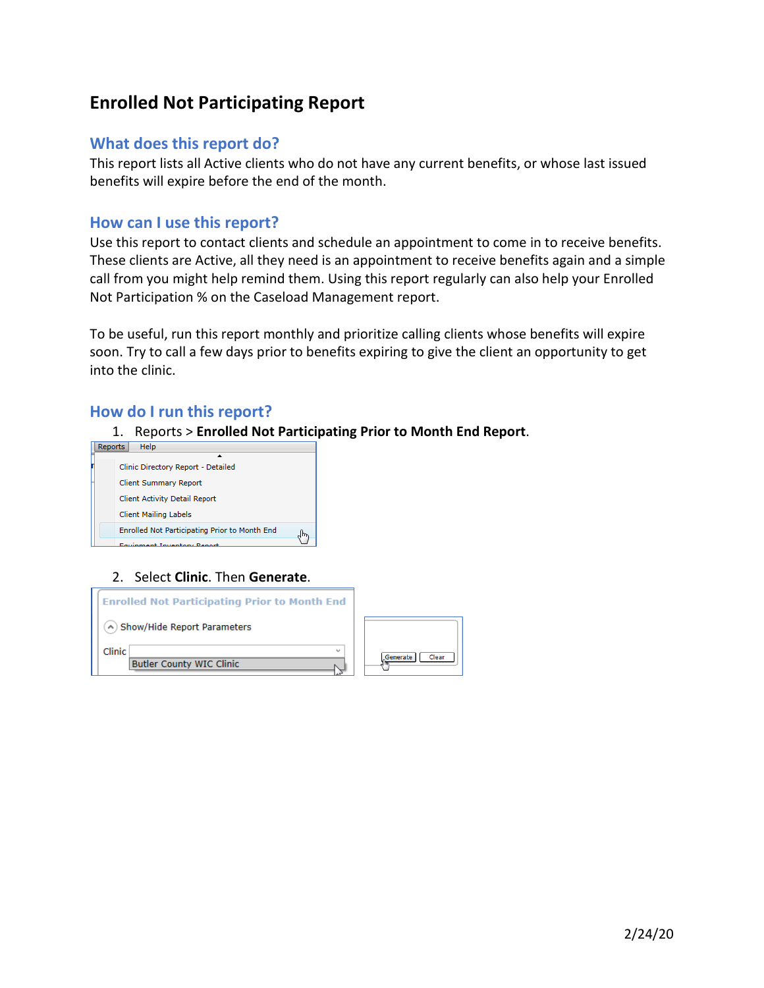# **Enrolled Not Participating Report**

### **What does this report do?**

This report lists all Active clients who do not have any current benefits, or whose last issued benefits will expire before the end of the month.

#### **How can I use this report?**

Use this report to contact clients and schedule an appointment to come in to receive benefits. These clients are Active, all they need is an appointment to receive benefits again and a simple call from you might help remind them. Using this report regularly can also help your Enrolled Not Participation % on the Caseload Management report.

To be useful, run this report monthly and prioritize calling clients whose benefits will expire soon. Try to call a few days prior to benefits expiring to give the client an opportunity to get into the clinic.

#### **How do I run this report?**

1. Reports > **Enrolled Not Participating Prior to Month End Report**.



#### 2. Select **Clinic**. Then **Generate**.